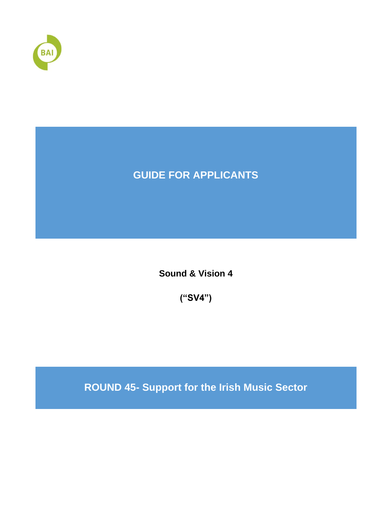

# **GUIDE FOR APPLICANTS**

**Sound & Vision 4**

**("SV4")**

**ROUND 45- Support for the Irish Music Sector**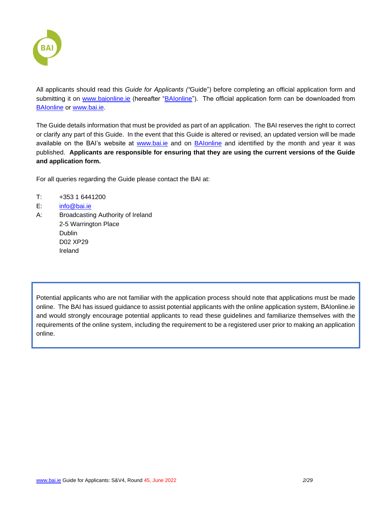

All applicants should read this *Guide for Applicants ("*Guide") before completing an official application form and submitting it on [www.baionline.ie](http://www.baionline.ie/) (hereafter ["BAIonline"](http://www.baionline.ie/)). The official application form can be downloaded from [BAIonline](http://www.baionline.ie/) or [www.bai.ie.](http://www.bai.ie/)

The Guide details information that must be provided as part of an application. The BAI reserves the right to correct or clarify any part of this Guide. In the event that this Guide is altered or revised, an updated version will be made available on the BAI's website at [www.bai.ie](http://www.bai.ie/) and on [BAIonline](http://www.baionline.ie/) and identified by the month and year it was published. **Applicants are responsible for ensuring that they are using the current versions of the Guide and application form.**

For all queries regarding the Guide please contact the BAI at:

- T: +353 1 6441200
- E: [info@bai.ie](mailto:info@bai.ie)
- A: Broadcasting Authority of Ireland 2-5 Warrington Place Dublin D02 XP29 Ireland

Potential applicants who are not familiar with the application process should note that applications must be made online. The BAI has issued guidance to assist potential applicants with the online application system, BAIonline.ie and would strongly encourage potential applicants to read these guidelines and familiarize themselves with the requirements of the online system, including the requirement to be a registered user prior to making an application online.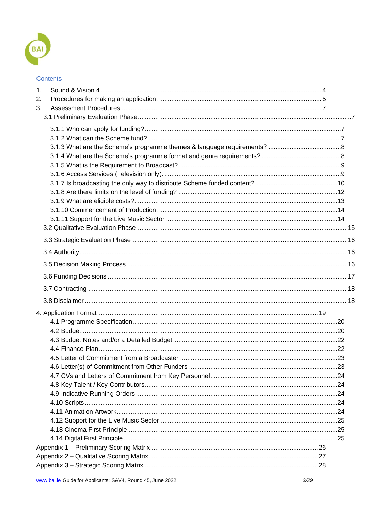

### Contents

| 1. |  |
|----|--|
| 2. |  |
| 3. |  |
|    |  |
|    |  |
|    |  |
|    |  |
|    |  |
|    |  |
|    |  |
|    |  |
|    |  |
|    |  |
|    |  |
|    |  |
|    |  |
|    |  |
|    |  |
|    |  |
|    |  |
|    |  |
|    |  |
|    |  |
|    |  |
|    |  |
|    |  |
|    |  |
|    |  |
|    |  |
|    |  |
|    |  |
|    |  |
|    |  |
|    |  |
|    |  |
|    |  |
|    |  |
|    |  |
|    |  |
|    |  |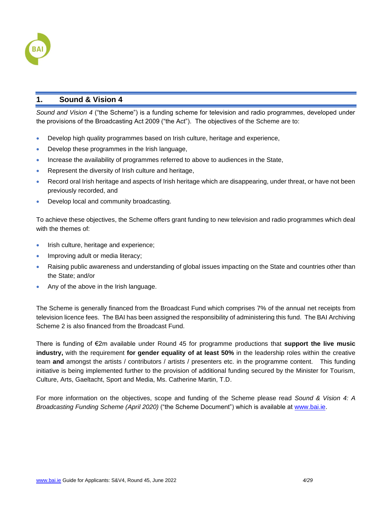

### <span id="page-3-0"></span>**1. Sound & Vision 4**

*Sound and Vision 4* ("the Scheme") is a funding scheme for television and radio programmes, developed under the provisions of the Broadcasting Act 2009 ("the Act"). The objectives of the Scheme are to:

- Develop high quality programmes based on Irish culture, heritage and experience,
- Develop these programmes in the Irish language,
- Increase the availability of programmes referred to above to audiences in the State,
- Represent the diversity of Irish culture and heritage,
- Record oral Irish heritage and aspects of Irish heritage which are disappearing, under threat, or have not been previously recorded, and
- Develop local and community broadcasting.

To achieve these objectives, the Scheme offers grant funding to new television and radio programmes which deal with the themes of:

- Irish culture, heritage and experience;
- Improving adult or media literacy;
- Raising public awareness and understanding of global issues impacting on the State and countries other than the State; and/or
- Any of the above in the Irish language.

The Scheme is generally financed from the Broadcast Fund which comprises 7% of the annual net receipts from television licence fees. The BAI has been assigned the responsibility of administering this fund. The BAI Archiving Scheme 2 is also financed from the Broadcast Fund.

There is funding of €2m available under Round 45 for programme productions that **support the live music industry,** with the requirement **for gender equality of at least 50%** in the leadership roles within the creative team **and** amongst the artists / contributors / artists / presenters etc. in the programme content. This funding initiative is being implemented further to the provision of additional funding secured by the Minister for Tourism, Culture, Arts, Gaeltacht, Sport and Media, Ms. Catherine Martin, T.D.

For more information on the objectives, scope and funding of the Scheme please read *Sound & Vision 4: A Broadcasting Funding Scheme (April 2020)* ("the Scheme Document") which is available at [www.bai.ie.](http://www.bai.ie/)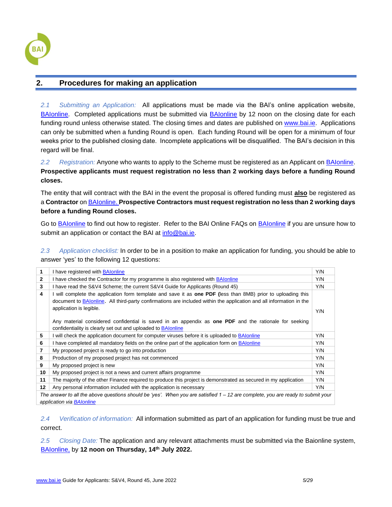

### <span id="page-4-0"></span>**2. Procedures for making an application**

*2.1 Submitting an Application:* All applications must be made via the BAI's online application website, [BAIonline.](http://baionline/) Completed applications must be submitted via [BAIonline](http://baionline/) by 12 noon on the closing date for each funding round unless otherwise stated. The closing times and dates are published on [www.bai.ie.](http://www.bai.ie/) Applications can only be submitted when a funding Round is open. Each funding Round will be open for a minimum of four weeks prior to the published closing date. Incomplete applications will be disqualified. The BAI's decision in this regard will be final.

*2.2 Registration:* Anyone who wants to apply to the Scheme must be registered as an Applicant on [BAIonline.](http://baionline/) **Prospective applicants must request registration no less than 2 working days before a funding Round closes.** 

The entity that will contract with the BAI in the event the proposal is offered funding must **also** be registered as a **Contractor** on [BAIonline.](http://baionline/) **Prospective Contractors must request registration no less than 2 working days before a funding Round closes.**

Go to **BAIonline** to find out how to register. Refer to the BAI Online FAQs on **BAIonline** if you are unsure how to submit an application or contact the BAI at [info@bai.ie.](mailto:info@bai.ie)

*2.3 Application checklist:* In order to be in a position to make an application for funding, you should be able to answer 'yes' to the following 12 questions:

| 1                                                                                                                                                                   | I have registered with <b>BAIonline</b>                                                                                                                                                                                                                             | Y/N |  |  |
|---------------------------------------------------------------------------------------------------------------------------------------------------------------------|---------------------------------------------------------------------------------------------------------------------------------------------------------------------------------------------------------------------------------------------------------------------|-----|--|--|
| 2                                                                                                                                                                   | I have checked the Contractor for my programme is also registered with <b>BAlonline</b>                                                                                                                                                                             | Y/N |  |  |
| 3                                                                                                                                                                   | I have read the S&V4 Scheme; the current S&V4 Guide for Applicants (Round 45)                                                                                                                                                                                       | Y/N |  |  |
| 4                                                                                                                                                                   | will complete the application form template and save it as <b>one PDF</b> (less than 8MB) prior to uploading this<br>document to BAIonline. All third-party confirmations are included within the application and all information in the<br>application is legible. | Y/N |  |  |
|                                                                                                                                                                     | Any material considered confidential is saved in an appendix as <b>one PDF</b> and the rationale for seeking                                                                                                                                                        |     |  |  |
|                                                                                                                                                                     | confidentiality is clearly set out and uploaded to BAIonline                                                                                                                                                                                                        |     |  |  |
| 5                                                                                                                                                                   | I will check the application document for computer viruses before it is uploaded to BAIonline                                                                                                                                                                       | Y/N |  |  |
| 6                                                                                                                                                                   | I have completed all mandatory fields on the online part of the application form on BAIonline                                                                                                                                                                       | Y/N |  |  |
| 7                                                                                                                                                                   | My proposed project is ready to go into production                                                                                                                                                                                                                  | Y/N |  |  |
| 8                                                                                                                                                                   | Production of my proposed project has not commenced                                                                                                                                                                                                                 | Y/N |  |  |
| 9                                                                                                                                                                   | My proposed project is new                                                                                                                                                                                                                                          | Y/N |  |  |
| 10                                                                                                                                                                  | My proposed project is not a news and current affairs programme                                                                                                                                                                                                     | Y/N |  |  |
| 11                                                                                                                                                                  | The majority of the other Finance required to produce this project is demonstrated as secured in my application                                                                                                                                                     | Y/N |  |  |
| 12                                                                                                                                                                  | Any personal information included with the application is necessary                                                                                                                                                                                                 | Y/N |  |  |
| The answer to all the above questions should be 'yes'. When you are satisfied 1 – 12 are complete, you are ready to submit your<br>application via <b>BAIonline</b> |                                                                                                                                                                                                                                                                     |     |  |  |

*2.4 Verification of information:* All information submitted as part of an application for funding must be true and correct.

*2.5 Closing Date:* The application and any relevant attachments must be submitted via the Baionline system, [BAIonline,](http://baionline/) by **12 noon on Thursday, 14th July 2022.**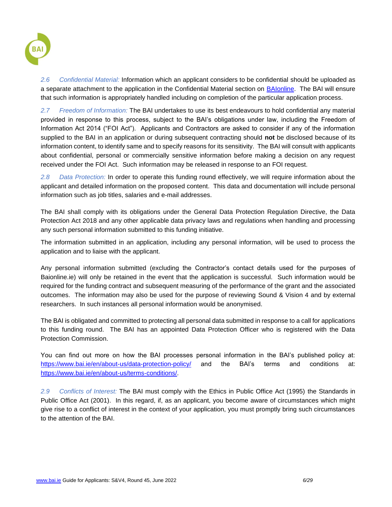

*2.6 Confidential Material:* Information which an applicant considers to be confidential should be uploaded as a separate attachment to the application in the Confidential Material section on [BAIonline.](http://baionline/) The BAI will ensure that such information is appropriately handled including on completion of the particular application process.

*2.7 Freedom of Information:* The BAI undertakes to use its best endeavours to hold confidential any material provided in response to this process, subject to the BAI's obligations under law, including the Freedom of Information Act 2014 ("FOI Act"). Applicants and Contractors are asked to consider if any of the information supplied to the BAI in an application or during subsequent contracting should **not** be disclosed because of its information content, to identify same and to specify reasons for its sensitivity. The BAI will consult with applicants about confidential, personal or commercially sensitive information before making a decision on any request received under the FOI Act. Such information may be released in response to an FOI request.

*2.8 Data Protection:* In order to operate this funding round effectively, we will require information about the applicant and detailed information on the proposed content. This data and documentation will include personal information such as job titles, salaries and e-mail addresses.

The BAI shall comply with its obligations under the General Data Protection Regulation Directive, the Data Protection Act 2018 and any other applicable data privacy laws and regulations when handling and processing any such personal information submitted to this funding initiative.

The information submitted in an application, including any personal information, will be used to process the application and to liaise with the applicant.

Any personal information submitted (excluding the Contractor's contact details used for the purposes of Baionline.ie) will only be retained in the event that the application is successful. Such information would be required for the funding contract and subsequent measuring of the performance of the grant and the associated outcomes. The information may also be used for the purpose of reviewing Sound & Vision 4 and by external researchers. In such instances all personal information would be anonymised.

The BAI is obligated and committed to protecting all personal data submitted in response to a call for applications to this funding round. The BAI has an appointed Data Protection Officer who is registered with the Data Protection Commission.

You can find out more on how the BAI processes personal information in the BAI's published policy at: <https://www.bai.ie/en/about-us/data-protection-policy/> and the BAI's terms and conditions at: [https://www.bai.ie/en/about-us/terms-conditions/.](https://www.bai.ie/en/about-us/terms-conditions/)

*2.9 Conflicts of Interest:* The BAI must comply with the Ethics in Public Office Act (1995) the Standards in Public Office Act (2001). In this regard, if, as an applicant, you become aware of circumstances which might give rise to a conflict of interest in the context of your application, you must promptly bring such circumstances to the attention of the BAI.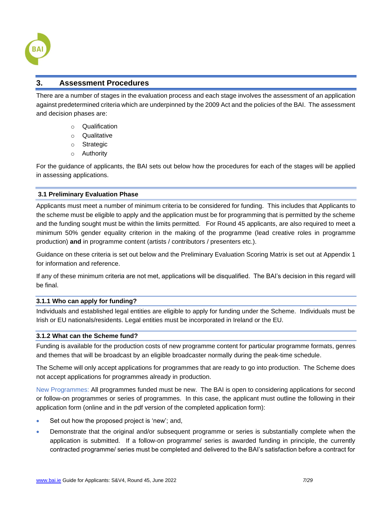

### <span id="page-6-0"></span>**3. Assessment Procedures**

There are a number of stages in the evaluation process and each stage involves the assessment of an application against predetermined criteria which are underpinned by the 2009 Act and the policies of the BAI. The assessment and decision phases are:

- o Qualification
- o Qualitative
- o Strategic
- o Authority

For the guidance of applicants, the BAI sets out below how the procedures for each of the stages will be applied in assessing applications.

### <span id="page-6-1"></span>**3.1 Preliminary Evaluation Phase**

Applicants must meet a number of minimum criteria to be considered for funding. This includes that Applicants to the scheme must be eligible to apply and the application must be for programming that is permitted by the scheme and the funding sought must be within the limits permitted. For Round 45 applicants, are also required to meet a minimum 50% gender equality criterion in the making of the programme (lead creative roles in programme production) **and** in programme content (artists / contributors / presenters etc.).

Guidance on these criteria is set out below and the Preliminary Evaluation Scoring Matrix is set out at Appendix 1 for information and reference.

If any of these minimum criteria are not met, applications will be disqualified. The BAI's decision in this regard will be final.

### <span id="page-6-2"></span>**3.1.1 Who can apply for funding?**

Individuals and established legal entities are eligible to apply for funding under the Scheme. Individuals must be Irish or EU nationals/residents. Legal entities must be incorporated in Ireland or the EU.

### <span id="page-6-3"></span>**3.1.2 What can the Scheme fund?**

Funding is available for the production costs of new programme content for particular programme formats, genres and themes that will be broadcast by an eligible broadcaster normally during the peak-time schedule.

The Scheme will only accept applications for programmes that are ready to go into production. The Scheme does not accept applications for programmes already in production.

New Programmes: All programmes funded must be new. The BAI is open to considering applications for second or follow-on programmes or series of programmes. In this case, the applicant must outline the following in their application form (online and in the pdf version of the completed application form):

- Set out how the proposed project is 'new'; and,
- Demonstrate that the original and/or subsequent programme or series is substantially complete when the application is submitted. If a follow-on programme/ series is awarded funding in principle, the currently contracted programme/ series must be completed and delivered to the BAI's satisfaction before a contract for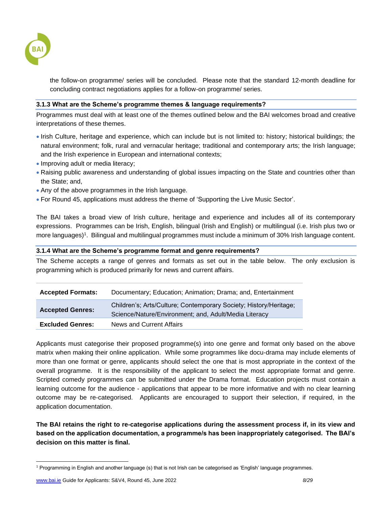

the follow-on programme/ series will be concluded. Please note that the standard 12-month deadline for concluding contract negotiations applies for a follow-on programme/ series.

### <span id="page-7-0"></span>**3.1.3 What are the Scheme's programme themes & language requirements?**

Programmes must deal with at least one of the themes outlined below and the BAI welcomes broad and creative interpretations of these themes.

- Irish Culture, heritage and experience, which can include but is not limited to: history; historical buildings; the natural environment; folk, rural and vernacular heritage; traditional and contemporary arts; the Irish language; and the Irish experience in European and international contexts;
- Improving adult or media literacy;
- Raising public awareness and understanding of global issues impacting on the State and countries other than the State; and,
- Any of the above programmes in the Irish language.
- For Round 45, applications must address the theme of 'Supporting the Live Music Sector'.

The BAI takes a broad view of Irish culture, heritage and experience and includes all of its contemporary expressions. Programmes can be Irish, English, bilingual (Irish and English) or multilingual (i.e. Irish plus two or more languages)<sup>1</sup>. Bilingual and multilingual programmes must include a minimum of 30% Irish language content.

### <span id="page-7-1"></span>**3.1.4 What are the Scheme's programme format and genre requirements?**

The Scheme accepts a range of genres and formats as set out in the table below. The only exclusion is programming which is produced primarily for news and current affairs.

| <b>Accepted Formats:</b> | Documentary; Education; Animation; Drama; and, Entertainment                                                               |
|--------------------------|----------------------------------------------------------------------------------------------------------------------------|
| <b>Accepted Genres:</b>  | Children's; Arts/Culture; Contemporary Society; History/Heritage;<br>Science/Nature/Environment; and, Adult/Media Literacy |
| <b>Excluded Genres:</b>  | News and Current Affairs                                                                                                   |

Applicants must categorise their proposed programme(s) into one genre and format only based on the above matrix when making their online application. While some programmes like docu-drama may include elements of more than one format or genre, applicants should select the one that is most appropriate in the context of the overall programme. It is the responsibility of the applicant to select the most appropriate format and genre. Scripted comedy programmes can be submitted under the Drama format. Education projects must contain a learning outcome for the audience - applications that appear to be more informative and with no clear learning outcome may be re-categorised. Applicants are encouraged to support their selection, if required, in the application documentation.

**The BAI retains the right to re-categorise applications during the assessment process if, in its view and based on the application documentation, a programme/s has been inappropriately categorised. The BAI's decision on this matter is final.** 

<sup>1</sup> Programming in English and another language (s) that is not Irish can be categorised as 'English' language programmes.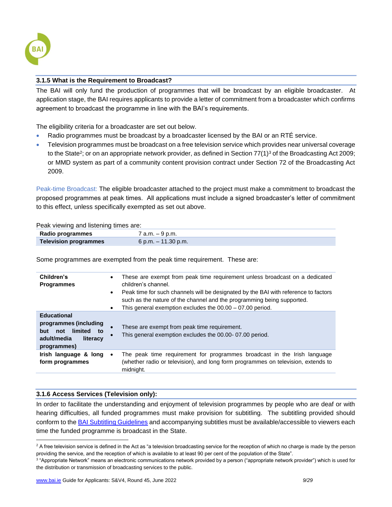

### <span id="page-8-0"></span>**3.1.5 What is the Requirement to Broadcast?**

The BAI will only fund the production of programmes that will be broadcast by an eligible broadcaster. At application stage, the BAI requires applicants to provide a letter of commitment from a broadcaster which confirms agreement to broadcast the programme in line with the BAI's requirements.

The eligibility criteria for a broadcaster are set out below.

- Radio programmes must be broadcast by a broadcaster licensed by the BAI or an RTÉ service.
- Television programmes must be broadcast on a free television service which provides near universal coverage to the State<sup>2</sup>; or on an appropriate network provider, as defined in Section 77(1)<sup>3</sup> of the Broadcasting Act 2009; or MMD system as part of a community content provision contract under Section 72 of the Broadcasting Act 2009.

Peak-time Broadcast: The eligible broadcaster attached to the project must make a commitment to broadcast the proposed programmes at peak times. All applications must include a signed broadcaster's letter of commitment to this effect, unless specifically exempted as set out above.

Peak viewing and listening times are:

| Radio programmes      | 7 a.m. – 9 p.m.        |
|-----------------------|------------------------|
| Television programmes | $6$ p.m. $-11.30$ p.m. |

Some programmes are exempted from the peak time requirement. These are:

| Children's<br><b>Programmes</b>                                                                                      | $\bullet$<br>$\bullet$<br>$\bullet$ | These are exempt from peak time requirement unless broadcast on a dedicated<br>children's channel.<br>Peak time for such channels will be designated by the BAI with reference to factors<br>such as the nature of the channel and the programming being supported.<br>This general exemption excludes the $00.00 - 07.00$ period. |
|----------------------------------------------------------------------------------------------------------------------|-------------------------------------|------------------------------------------------------------------------------------------------------------------------------------------------------------------------------------------------------------------------------------------------------------------------------------------------------------------------------------|
| <b>Educational</b><br>programmes (including<br>limited<br>not<br>but<br>to<br>adult/media<br>literacy<br>programmes) |                                     | These are exempt from peak time requirement.<br>This general exemption excludes the 00.00-07.00 period.                                                                                                                                                                                                                            |
| Irish language & long<br>form programmes                                                                             | $\bullet$                           | The peak time requirement for programmes broadcast in the Irish language<br>(whether radio or television), and long form programmes on television, extends to<br>midnight.                                                                                                                                                         |

### <span id="page-8-1"></span>**3.1.6 Access Services (Television only):**

In order to facilitate the understanding and enjoyment of television programmes by people who are deaf or with hearing difficulties, all funded programmes must make provision for subtitling. The subtitling provided should conform to the [BAI Subtitling Guidelines](http://www.bai.ie/en/download/128530/) and accompanying subtitles must be available/accessible to viewers each time the funded programme is broadcast in the State.

<sup>&</sup>lt;sup>2</sup> A free television service is defined in the Act as "a television broadcasting service for the reception of which no charge is made by the person providing the service, and the reception of which is available to at least 90 per cent of the population of the State".

<sup>3</sup> "Appropriate Network" means an electronic communications network provided by a person ("appropriate network provider") which is used for the distribution or transmission of broadcasting services to the public.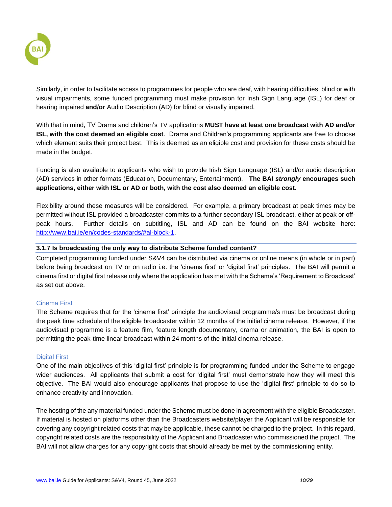

Similarly, in order to facilitate access to programmes for people who are deaf, with hearing difficulties, blind or with visual impairments, some funded programming must make provision for Irish Sign Language (ISL) for deaf or hearing impaired **and/or** Audio Description (AD) for blind or visually impaired.

With that in mind, TV Drama and children's TV applications **MUST have at least one broadcast with AD and/or ISL, with the cost deemed an eligible cost**. Drama and Children's programming applicants are free to choose which element suits their project best. This is deemed as an eligible cost and provision for these costs should be made in the budget.

Funding is also available to applicants who wish to provide Irish Sign Language (ISL) and/or audio description (AD) services in other formats (Education, Documentary, Entertainment). **The BAI** *strongly* **encourages such applications, either with ISL or AD or both, with the cost also deemed an eligible cost.**

Flexibility around these measures will be considered. For example, a primary broadcast at peak times may be permitted without ISL provided a broadcaster commits to a further secondary ISL broadcast, either at peak or offpeak hours. Further details on subtitling, ISL and AD can be found on the BAI website here: [http://www.bai.ie/en/codes-standards/#al-block-1.](http://www.bai.ie/en/codes-standards/#al-block-1)

### <span id="page-9-0"></span>**3.1.7 Is broadcasting the only way to distribute Scheme funded content?**

Completed programming funded under S&V4 can be distributed via cinema or online means (in whole or in part) before being broadcast on TV or on radio i.e. the 'cinema first' or 'digital first' principles. The BAI will permit a cinema first or digital first release only where the application has met with the Scheme's 'Requirement to Broadcast' as set out above.

### Cinema First

The Scheme requires that for the 'cinema first' principle the audiovisual programme/s must be broadcast during the peak time schedule of the eligible broadcaster within 12 months of the initial cinema release. However, if the audiovisual programme is a feature film, feature length documentary, drama or animation, the BAI is open to permitting the peak-time linear broadcast within 24 months of the initial cinema release.

### Digital First

One of the main objectives of this 'digital first' principle is for programming funded under the Scheme to engage wider audiences. All applicants that submit a cost for 'digital first' must demonstrate how they will meet this objective. The BAI would also encourage applicants that propose to use the 'digital first' principle to do so to enhance creativity and innovation.

The hosting of the any material funded under the Scheme must be done in agreement with the eligible Broadcaster. If material is hosted on platforms other than the Broadcasters website/player the Applicant will be responsible for covering any copyright related costs that may be applicable, these cannot be charged to the project. In this regard, copyright related costs are the responsibility of the Applicant and Broadcaster who commissioned the project. The BAI will not allow charges for any copyright costs that should already be met by the commissioning entity.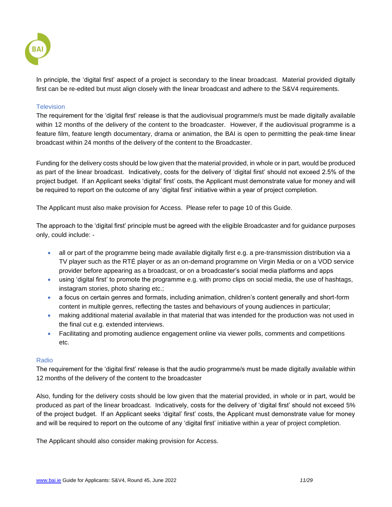

In principle, the 'digital first' aspect of a project is secondary to the linear broadcast. Material provided digitally first can be re-edited but must align closely with the linear broadcast and adhere to the S&V4 requirements.

### **Television**

The requirement for the 'digital first' release is that the audiovisual programme/s must be made digitally available within 12 months of the delivery of the content to the broadcaster. However, if the audiovisual programme is a feature film, feature length documentary, drama or animation, the BAI is open to permitting the peak-time linear broadcast within 24 months of the delivery of the content to the Broadcaster.

Funding for the delivery costs should be low given that the material provided, in whole or in part, would be produced as part of the linear broadcast. Indicatively, costs for the delivery of 'digital first' should not exceed 2.5% of the project budget. If an Applicant seeks 'digital' first' costs, the Applicant must demonstrate value for money and will be required to report on the outcome of any 'digital first' initiative within a year of project completion.

The Applicant must also make provision for Access. Please refer to page 10 of this Guide.

The approach to the 'digital first' principle must be agreed with the eligible Broadcaster and for guidance purposes only, could include: -

- all or part of the programme being made available digitally first e.g. a pre-transmission distribution via a TV player such as the RTÉ player or as an on-demand programme on Virgin Media or on a VOD service provider before appearing as a broadcast, or on a broadcaster's social media platforms and apps
- using 'digital first' to promote the programme e.g. with promo clips on social media, the use of hashtags, instagram stories, photo sharing etc.;
- a focus on certain genres and formats, including animation, children's content generally and short-form content in multiple genres, reflecting the tastes and behaviours of young audiences in particular;
- making additional material available in that material that was intended for the production was not used in the final cut e.g. extended interviews.
- Facilitating and promoting audience engagement online via viewer polls, comments and competitions etc.

### Radio

The requirement for the 'digital first' release is that the audio programme/s must be made digitally available within 12 months of the delivery of the content to the broadcaster

Also, funding for the delivery costs should be low given that the material provided, in whole or in part, would be produced as part of the linear broadcast. Indicatively, costs for the delivery of 'digital first' should not exceed 5% of the project budget. If an Applicant seeks 'digital' first' costs, the Applicant must demonstrate value for money and will be required to report on the outcome of any 'digital first' initiative within a year of project completion.

The Applicant should also consider making provision for Access.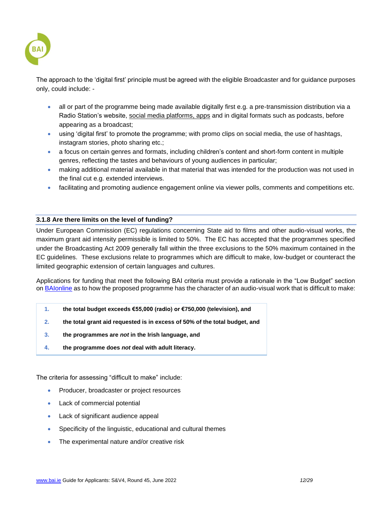

The approach to the 'digital first' principle must be agreed with the eligible Broadcaster and for guidance purposes only, could include: -

- all or part of the programme being made available digitally first e.g. a pre-transmission distribution via a Radio Station's website, social media platforms, apps and in digital formats such as podcasts, before appearing as a broadcast;
- using 'digital first' to promote the programme; with promo clips on social media, the use of hashtags, instagram stories, photo sharing etc.;
- a focus on certain genres and formats, including children's content and short-form content in multiple genres, reflecting the tastes and behaviours of young audiences in particular;
- making additional material available in that material that was intended for the production was not used in the final cut e.g. extended interviews.
- facilitating and promoting audience engagement online via viewer polls, comments and competitions etc.

### <span id="page-11-0"></span>**3.1.8 Are there limits on the level of funding?**

Under European Commission (EC) regulations concerning State aid to films and other audio-visual works, the maximum grant aid intensity permissible is limited to 50%. The EC has accepted that the programmes specified under the Broadcasting Act 2009 generally fall within the three exclusions to the 50% maximum contained in the EC guidelines. These exclusions relate to programmes which are difficult to make, low-budget or counteract the limited geographic extension of certain languages and cultures.

Applications for funding that meet the following BAI criteria must provide a rationale in the "Low Budget" section on [BAIonline](http://www.baionline.ie/) as to how the proposed programme has the character of an audio-visual work that is difficult to make:

- **1. the total budget exceeds €55,000 (radio) or €750,000 (television), and**
- **2. the total grant aid requested is in excess of 50% of the total budget, and**
- **3. the programmes are** *not* **in the Irish language, and**
- **4. the programme does** *not* **deal with adult literacy.**

The criteria for assessing "difficult to make" include:

- Producer, broadcaster or project resources
- Lack of commercial potential
- Lack of significant audience appeal
- Specificity of the linguistic, educational and cultural themes
- The experimental nature and/or creative risk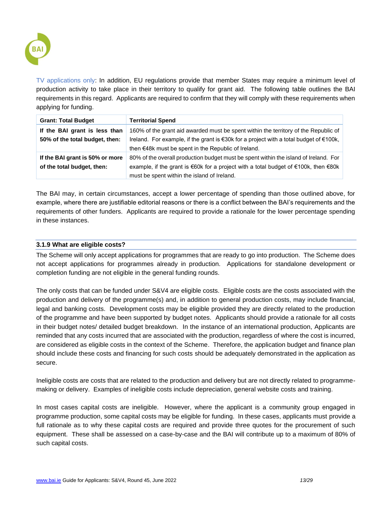

TV applications only: In addition, EU regulations provide that member States may require a minimum level of production activity to take place in their territory to qualify for grant aid. The following table outlines the BAI requirements in this regard. Applicants are required to confirm that they will comply with these requirements when applying for funding.

| <b>Grant: Total Budget</b>                                      | <b>Territorial Spend</b>                                                                                                                                                                                                               |
|-----------------------------------------------------------------|----------------------------------------------------------------------------------------------------------------------------------------------------------------------------------------------------------------------------------------|
| If the BAI grant is less than<br>50% of the total budget, then: | 160% of the grant aid awarded must be spent within the territory of the Republic of<br>Ireland. For example, if the grant is €30k for a project with a total budget of €100k,<br>then $€48k$ must be spent in the Republic of Ireland. |
| If the BAI grant is 50% or more<br>of the total budget, then:   | 80% of the overall production budget must be spent within the island of Ireland. For<br>example, if the grant is €60k for a project with a total budget of €100k, then €80k<br>must be spent within the island of Ireland.             |

The BAI may, in certain circumstances, accept a lower percentage of spending than those outlined above, for example, where there are justifiable editorial reasons or there is a conflict between the BAI's requirements and the requirements of other funders. Applicants are required to provide a rationale for the lower percentage spending in these instances.

### <span id="page-12-0"></span>**3.1.9 What are eligible costs?**

The Scheme will only accept applications for programmes that are ready to go into production. The Scheme does not accept applications for programmes already in production. Applications for standalone development or completion funding are not eligible in the general funding rounds.

The only costs that can be funded under S&V4 are eligible costs. Eligible costs are the costs associated with the production and delivery of the programme(s) and, in addition to general production costs, may include financial, legal and banking costs. Development costs may be eligible provided they are directly related to the production of the programme and have been supported by budget notes. Applicants should provide a rationale for all costs in their budget notes/ detailed budget breakdown. In the instance of an international production, Applicants are reminded that any costs incurred that are associated with the production, regardless of where the cost is incurred, are considered as eligible costs in the context of the Scheme. Therefore, the application budget and finance plan should include these costs and financing for such costs should be adequately demonstrated in the application as secure.

Ineligible costs are costs that are related to the production and delivery but are not directly related to programmemaking or delivery. Examples of ineligible costs include depreciation, general website costs and training.

In most cases capital costs are ineligible. However, where the applicant is a community group engaged in programme production, some capital costs may be eligible for funding. In these cases, applicants must provide a full rationale as to why these capital costs are required and provide three quotes for the procurement of such equipment. These shall be assessed on a case-by-case and the BAI will contribute up to a maximum of 80% of such capital costs.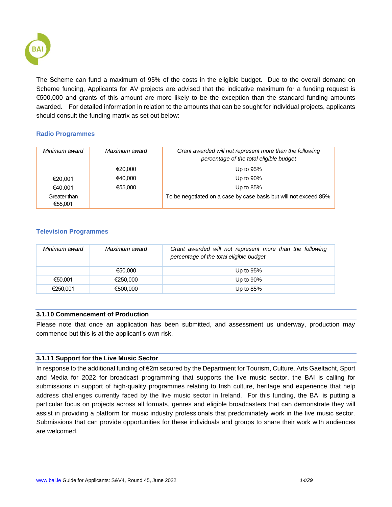

The Scheme can fund a maximum of 95% of the costs in the eligible budget. Due to the overall demand on Scheme funding, Applicants for AV projects are advised that the indicative maximum for a funding request is €500,000 and grants of this amount are more likely to be the exception than the standard funding amounts awarded. For detailed information in relation to the amounts that can be sought for individual projects, applicants should consult the funding matrix as set out below:

### **Radio Programmes**

| Minimum award           | Maximum award | Grant awarded will not represent more than the following<br>percentage of the total eligible budget |
|-------------------------|---------------|-----------------------------------------------------------------------------------------------------|
|                         | €20.000       | Up to $95%$                                                                                         |
| €20.001                 | €40.000       | Up to $90\%$                                                                                        |
| €40,001                 | €55,000       | Up to $85%$                                                                                         |
| Greater than<br>€55.001 |               | To be negotiated on a case by case basis but will not exceed 85%                                    |

### **Television Programmes**

| Minimum award | Maximum award | Grant awarded will not represent more than the following<br>percentage of the total eligible budget |
|---------------|---------------|-----------------------------------------------------------------------------------------------------|
|               | €50.000       | Up to $95%$                                                                                         |
| €50.001       | €250.000      | Up to $90\%$                                                                                        |
| €250.001      | €500.000      | Up to $85%$                                                                                         |

### <span id="page-13-0"></span>**3.1.10 Commencement of Production**

Please note that once an application has been submitted, and assessment us underway, production may commence but this is at the applicant's own risk.

### <span id="page-13-1"></span>**3.1.11 Support for the Live Music Sector**

In response to the additional funding of €2m secured by the Department for Tourism, Culture, Arts Gaeltacht, Sport and Media for 2022 for broadcast programming that supports the live music sector, the BAI is calling for submissions in support of high-quality programmes relating to Irish culture, heritage and experience that help address challenges currently faced by the live music sector in Ireland. For this funding, the BAI is putting a particular focus on projects across all formats, genres and eligible broadcasters that can demonstrate they will assist in providing a platform for music industry professionals that predominately work in the live music sector. Submissions that can provide opportunities for these individuals and groups to share their work with audiences are welcomed.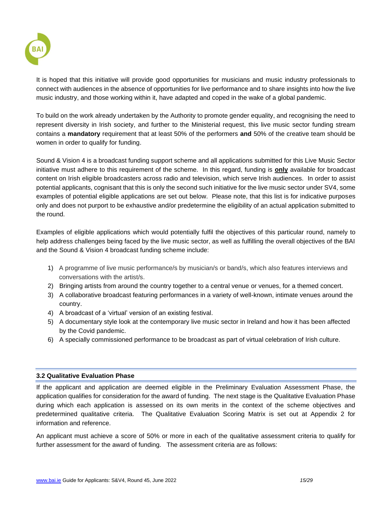

It is hoped that this initiative will provide good opportunities for musicians and music industry professionals to connect with audiences in the absence of opportunities for live performance and to share insights into how the live music industry, and those working within it, have adapted and coped in the wake of a global pandemic.

To build on the work already undertaken by the Authority to promote gender equality, and recognising the need to represent diversity in Irish society, and further to the Ministerial request, this live music sector funding stream contains a **mandatory** requirement that at least 50% of the performers **and** 50% of the creative team should be women in order to qualify for funding.

Sound & Vision 4 is a broadcast funding support scheme and all applications submitted for this Live Music Sector initiative must adhere to this requirement of the scheme. In this regard, funding is **only** available for broadcast content on Irish eligible broadcasters across radio and television, which serve Irish audiences. In order to assist potential applicants, cognisant that this is only the second such initiative for the live music sector under SV4, some examples of potential eligible applications are set out below. Please note, that this list is for indicative purposes only and does not purport to be exhaustive and/or predetermine the eligibility of an actual application submitted to the round.

Examples of eligible applications which would potentially fulfil the objectives of this particular round, namely to help address challenges being faced by the live music sector, as well as fulfilling the overall objectives of the BAI and the Sound & Vision 4 broadcast funding scheme include:

- 1) A programme of live music performance/s by musician/s or band/s, which also features interviews and conversations with the artist/s.
- 2) Bringing artists from around the country together to a central venue or venues, for a themed concert.
- 3) A collaborative broadcast featuring performances in a variety of well-known, intimate venues around the country.
- 4) A broadcast of a 'virtual' version of an existing festival.
- 5) A documentary style look at the contemporary live music sector in Ireland and how it has been affected by the Covid pandemic.
- 6) A specially commissioned performance to be broadcast as part of virtual celebration of Irish culture.

### <span id="page-14-0"></span>**3.2 Qualitative Evaluation Phase**

If the applicant and application are deemed eligible in the Preliminary Evaluation Assessment Phase, the application qualifies for consideration for the award of funding. The next stage is the Qualitative Evaluation Phase during which each application is assessed on its own merits in the context of the scheme objectives and predetermined qualitative criteria. The Qualitative Evaluation Scoring Matrix is set out at Appendix 2 for information and reference.

An applicant must achieve a score of 50% or more in each of the qualitative assessment criteria to qualify for further assessment for the award of funding. The assessment criteria are as follows: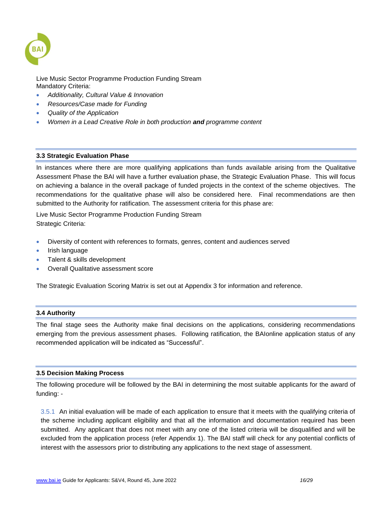

Live Music Sector Programme Production Funding Stream Mandatory Criteria:

- *Additionality, Cultural Value & Innovation*
- *Resources/Case made for Funding*
- *Quality of the Application*
- *Women in a Lead Creative Role in both production and programme content*

### <span id="page-15-0"></span>**3.3 Strategic Evaluation Phase**

In instances where there are more qualifying applications than funds available arising from the Qualitative Assessment Phase the BAI will have a further evaluation phase, the Strategic Evaluation Phase. This will focus on achieving a balance in the overall package of funded projects in the context of the scheme objectives. The recommendations for the qualitative phase will also be considered here. Final recommendations are then submitted to the Authority for ratification*.* The assessment criteria for this phase are:

Live Music Sector Programme Production Funding Stream Strategic Criteria:

- Diversity of content with references to formats, genres, content and audiences served
- Irish language
- Talent & skills development
- Overall Qualitative assessment score

The Strategic Evaluation Scoring Matrix is set out at Appendix 3 for information and reference.

### <span id="page-15-1"></span>**3.4 Authority**

The final stage sees the Authority make final decisions on the applications, considering recommendations emerging from the previous assessment phases. Following ratification, the BAIonline application status of any recommended application will be indicated as "Successful".

### <span id="page-15-2"></span>**3.5 Decision Making Process**

The following procedure will be followed by the BAI in determining the most suitable applicants for the award of funding: -

3.5.1 An initial evaluation will be made of each application to ensure that it meets with the qualifying criteria of the scheme including applicant eligibility and that all the information and documentation required has been submitted. Any applicant that does not meet with any one of the listed criteria will be disqualified and will be excluded from the application process (refer Appendix 1). The BAI staff will check for any potential conflicts of interest with the assessors prior to distributing any applications to the next stage of assessment.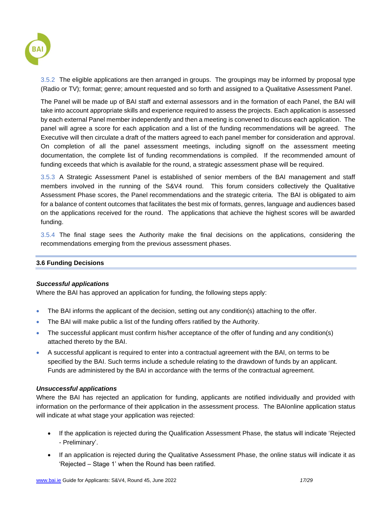

3.5.2 The eligible applications are then arranged in groups. The groupings may be informed by proposal type (Radio or TV); format; genre; amount requested and so forth and assigned to a Qualitative Assessment Panel.

The Panel will be made up of BAI staff and external assessors and in the formation of each Panel, the BAI will take into account appropriate skills and experience required to assess the projects. Each application is assessed by each external Panel member independently and then a meeting is convened to discuss each application. The panel will agree a score for each application and a list of the funding recommendations will be agreed. The Executive will then circulate a draft of the matters agreed to each panel member for consideration and approval. On completion of all the panel assessment meetings, including signoff on the assessment meeting documentation, the complete list of funding recommendations is compiled. If the recommended amount of funding exceeds that which is available for the round, a strategic assessment phase will be required.

3.5.3 A Strategic Assessment Panel is established of senior members of the BAI management and staff members involved in the running of the S&V4 round. This forum considers collectively the Qualitative Assessment Phase scores, the Panel recommendations and the strategic criteria. The BAI is obligated to aim for a balance of content outcomes that facilitates the best mix of formats, genres, language and audiences based on the applications received for the round. The applications that achieve the highest scores will be awarded funding.

3.5.4 The final stage sees the Authority make the final decisions on the applications, considering the recommendations emerging from the previous assessment phases.

### <span id="page-16-0"></span>**3.6 Funding Decisions**

### *Successful applications*

Where the BAI has approved an application for funding, the following steps apply:

- The BAI informs the applicant of the decision, setting out any condition(s) attaching to the offer.
- The BAI will make public a list of the funding offers ratified by the Authority.
- The successful applicant must confirm his/her acceptance of the offer of funding and any condition(s) attached thereto by the BAI.
- A successful applicant is required to enter into a contractual agreement with the BAI, on terms to be specified by the BAI. Such terms include a schedule relating to the drawdown of funds by an applicant. Funds are administered by the BAI in accordance with the terms of the contractual agreement.

### *Unsuccessful applications*

Where the BAI has rejected an application for funding, applicants are notified individually and provided with information on the performance of their application in the assessment process. The BAIonline application status will indicate at what stage your application was rejected:

- If the application is rejected during the Qualification Assessment Phase, the status will indicate 'Rejected - Preliminary'.
- If an application is rejected during the Qualitative Assessment Phase, the online status will indicate it as 'Rejected – Stage 1' when the Round has been ratified.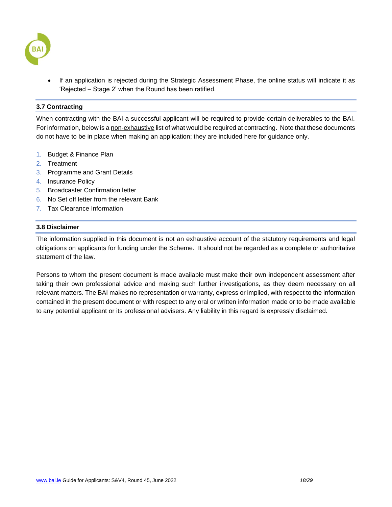

If an application is rejected during the Strategic Assessment Phase, the online status will indicate it as 'Rejected – Stage 2' when the Round has been ratified.

### <span id="page-17-0"></span>**3.7 Contracting**

When contracting with the BAI a successful applicant will be required to provide certain deliverables to the BAI. For information, below is a non-exhaustive list of what would be required at contracting. Note that these documents do not have to be in place when making an application; they are included here for guidance only.

- 1. Budget & Finance Plan
- 2. Treatment
- 3. Programme and Grant Details
- 4. Insurance Policy
- 5. Broadcaster Confirmation letter
- 6. No Set off letter from the relevant Bank
- 7. Tax Clearance Information

### <span id="page-17-1"></span>**3.8 Disclaimer**

The information supplied in this document is not an exhaustive account of the statutory requirements and legal obligations on applicants for funding under the Scheme. It should not be regarded as a complete or authoritative statement of the law.

Persons to whom the present document is made available must make their own independent assessment after taking their own professional advice and making such further investigations, as they deem necessary on all relevant matters. The BAI makes no representation or warranty, express or implied, with respect to the information contained in the present document or with respect to any oral or written information made or to be made available to any potential applicant or its professional advisers. Any liability in this regard is expressly disclaimed.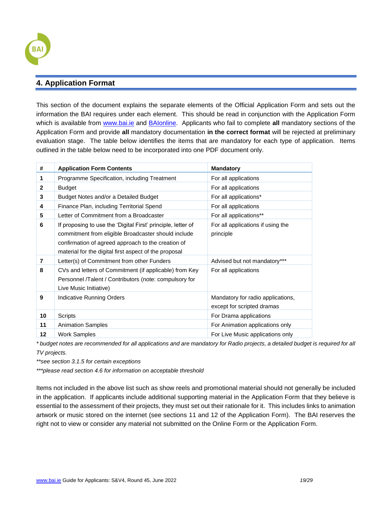

### <span id="page-18-0"></span>**4. Application Format**

This section of the document explains the separate elements of the Official Application Form and sets out the information the BAI requires under each element. This should be read in conjunction with the Application Form which is available from [www.bai.ie](http://www.bai.ie/) and [BAIonline.](http://www.baionline.ie/) Applicants who fail to complete **all** mandatory sections of the Application Form and provide **all** mandatory documentation **in the correct format** will be rejected at preliminary evaluation stage. The table below identifies the items that are mandatory for each type of application. Items outlined in the table below need to be incorporated into one PDF document only.

| #            | <b>Application Form Contents</b>                                                                                                                                                                                                   | <b>Mandatory</b>                                                |
|--------------|------------------------------------------------------------------------------------------------------------------------------------------------------------------------------------------------------------------------------------|-----------------------------------------------------------------|
| 1            | Programme Specification, including Treatment                                                                                                                                                                                       | For all applications                                            |
| $\mathbf{2}$ | <b>Budget</b>                                                                                                                                                                                                                      | For all applications                                            |
| 3            | Budget Notes and/or a Detailed Budget                                                                                                                                                                                              | For all applications*                                           |
| 4            | Finance Plan, including Territorial Spend                                                                                                                                                                                          | For all applications                                            |
| 5            | Letter of Commitment from a Broadcaster                                                                                                                                                                                            | For all applications**                                          |
| 6            | If proposing to use the 'Digital First' principle, letter of<br>commitment from eligible Broadcaster should include<br>confirmation of agreed approach to the creation of<br>material for the digital first aspect of the proposal | For all applications if using the<br>principle                  |
| 7            | Letter(s) of Commitment from other Funders                                                                                                                                                                                         | Advised but not mandatory***                                    |
| 8            | CVs and letters of Commitment (if applicable) from Key<br>Personnel /Talent / Contributors (note: compulsory for<br>Live Music Initiative)                                                                                         | For all applications                                            |
| 9            | Indicative Running Orders                                                                                                                                                                                                          | Mandatory for radio applications,<br>except for scripted dramas |
| 10           | Scripts                                                                                                                                                                                                                            | For Drama applications                                          |
| 11           | <b>Animation Samples</b>                                                                                                                                                                                                           | For Animation applications only                                 |
| 12           | <b>Work Samples</b>                                                                                                                                                                                                                | For Live Music applications only                                |

*\* budget notes are recommended for all applications and are mandatory for Radio projects, a detailed budget is required for all TV projects.*

*\*\*see section 3.1.5 for certain exceptions*

*\*\*\*please read section 4.6 for information on acceptable threshold*

Items not included in the above list such as show reels and promotional material should not generally be included in the application. If applicants include additional supporting material in the Application Form that they believe is essential to the assessment of their projects, they must set out their rationale for it. This includes links to animation artwork or music stored on the internet (see sections 11 and 12 of the Application Form). The BAI reserves the right not to view or consider any material not submitted on the Online Form or the Application Form.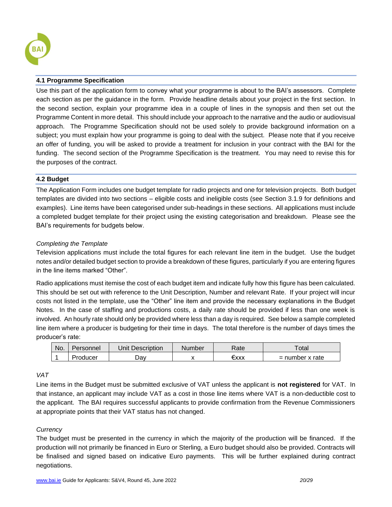

### <span id="page-19-0"></span>**4.1 Programme Specification**

Use this part of the application form to convey what your programme is about to the BAI's assessors. Complete each section as per the guidance in the form. Provide headline details about your project in the first section. In the second section, explain your programme idea in a couple of lines in the synopsis and then set out the Programme Content in more detail. This should include your approach to the narrative and the audio or audiovisual approach. The Programme Specification should not be used solely to provide background information on a subject; you must explain how your programme is going to deal with the subject. Please note that if you receive an offer of funding, you will be asked to provide a treatment for inclusion in your contract with the BAI for the funding. The second section of the Programme Specification is the treatment. You may need to revise this for the purposes of the contract.

### <span id="page-19-1"></span>**4.2 Budget**

The Application Form includes one budget template for radio projects and one for television projects. Both budget templates are divided into two sections – eligible costs and ineligible costs (see Section 3.1.9 for definitions and examples). Line items have been categorised under sub-headings in these sections. All applications must include a completed budget template for their project using the existing categorisation and breakdown. Please see the BAI's requirements for budgets below.

### *Completing the Template*

Television applications must include the total figures for each relevant line item in the budget. Use the budget notes and/or detailed budget section to provide a breakdown of these figures, particularly if you are entering figures in the line items marked "Other".

Radio applications must itemise the cost of each budget item and indicate fully how this figure has been calculated. This should be set out with reference to the Unit Description, Number and relevant Rate. If your project will incur costs not listed in the template, use the "Other" line item and provide the necessary explanations in the Budget Notes. In the case of staffing and productions costs, a daily rate should be provided if less than one week is involved. An hourly rate should only be provided where less than a day is required. See below a sample completed line item where a producer is budgeting for their time in days. The total therefore is the number of days times the producer's rate:

| No. | Personnel | Unit Description | Number | Rate | $\tau$ otal       |
|-----|-----------|------------------|--------|------|-------------------|
|     | Producer  | ⊃av              |        | €xxx | $=$ number x rate |

### *VAT*

Line items in the Budget must be submitted exclusive of VAT unless the applicant is **not registered** for VAT. In that instance, an applicant may include VAT as a cost in those line items where VAT is a non-deductible cost to the applicant. The BAI requires successful applicants to provide confirmation from the Revenue Commissioners at appropriate points that their VAT status has not changed.

### *Currency*

The budget must be presented in the currency in which the majority of the production will be financed. If the production will not primarily be financed in Euro or Sterling, a Euro budget should also be provided. Contracts will be finalised and signed based on indicative Euro payments. This will be further explained during contract negotiations.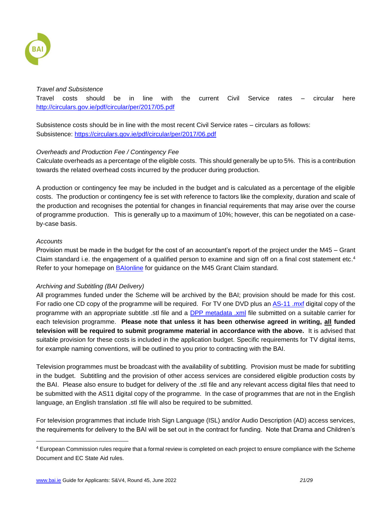

### *Travel and Subsistence*

Travel costs should be in line with the current Civil Service rates – circular here <http://circulars.gov.ie/pdf/circular/per/2017/05.pdf>

Subsistence costs should be in line with the most recent Civil Service rates – circulars as follows: Subsistence:<https://circulars.gov.ie/pdf/circular/per/2017/06.pdf>

### *Overheads and Production Fee / Contingency Fee*

Calculate overheads as a percentage of the eligible costs. This should generally be up to 5%. This is a contribution towards the related overhead costs incurred by the producer during production.

A production or contingency fee may be included in the budget and is calculated as a percentage of the eligible costs. The production or contingency fee is set with reference to factors like the complexity, duration and scale of the production and recognises the potential for changes in financial requirements that may arise over the course of programme production. This is generally up to a maximum of 10%; however, this can be negotiated on a caseby-case basis.

### *Accounts*

Provision must be made in the budget for the cost of an accountant's report-of the project under the M45 – Grant Claim standard i.e. the engagement of a qualified person to examine and sign off on a final cost statement etc.<sup>4</sup> Refer to your homepage on [BAIonline](http://www.baionline.ie/) for guidance on the M45 Grant Claim standard.

### *Archiving and Subtitling (BAI Delivery)*

All programmes funded under the Scheme will be archived by the BAI; provision should be made for this cost. For radio one CD copy of the programme will be required. For TV one DVD plus an [AS-11 .mxf](https://amwa.tv/projects/AS-11.shtml) digital copy of the programme with an appropriate subtitle .stl file and a [DPP metadata .xml](http://dpp-assets.s3.amazonaws.com/wp-content/uploads/2014/05/DPP-Metadata-Application-Information-Definitions-v1.0-Published.pdf) file submitted on a suitable carrier for each television programme. **Please note that unless it has been otherwise agreed in writing, all funded television will be required to submit programme material in accordance with the above.** It is advised that suitable provision for these costs is included in the application budget. Specific requirements for TV digital items, for example naming conventions, will be outlined to you prior to contracting with the BAI.

Television programmes must be broadcast with the availability of subtitling. Provision must be made for subtitling in the budget. Subtitling and the provision of other access services are considered eligible production costs by the BAI. Please also ensure to budget for delivery of the .stl file and any relevant access digital files that need to be submitted with the AS11 digital copy of the programme. In the case of programmes that are not in the English language, an English translation .stl file will also be required to be submitted.

For television programmes that include Irish Sign Language (ISL) and/or Audio Description (AD) access services, the requirements for delivery to the BAI will be set out in the contract for funding. Note that Drama and Children's

<sup>4</sup> European Commission rules require that a formal review is completed on each project to ensure compliance with the Scheme Document and EC State Aid rules.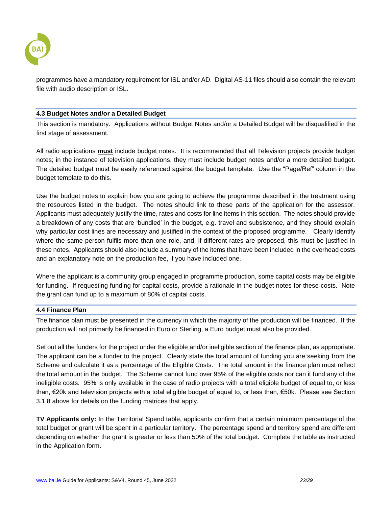

programmes have a mandatory requirement for ISL and/or AD. Digital AS-11 files should also contain the relevant file with audio description or ISL.

### <span id="page-21-0"></span>**4.3 Budget Notes and/or a Detailed Budget**

This section is mandatory. Applications without Budget Notes and/or a Detailed Budget will be disqualified in the first stage of assessment.

All radio applications **must** include budget notes. It is recommended that all Television projects provide budget notes; in the instance of television applications, they must include budget notes and/or a more detailed budget. The detailed budget must be easily referenced against the budget template. Use the "Page/Ref" column in the budget template to do this.

Use the budget notes to explain how you are going to achieve the programme described in the treatment using the resources listed in the budget. The notes should link to these parts of the application for the assessor. Applicants must adequately justify the time, rates and costs for line items in this section. The notes should provide a breakdown of any costs that are 'bundled' in the budget, e.g. travel and subsistence, and they should explain why particular cost lines are necessary and justified in the context of the proposed programme. Clearly identify where the same person fulfils more than one role, and, if different rates are proposed, this must be justified in these notes. Applicants should also include a summary of the items that have been included in the overhead costs and an explanatory note on the production fee, if you have included one.

Where the applicant is a community group engaged in programme production, some capital costs may be eligible for funding. If requesting funding for capital costs, provide a rationale in the budget notes for these costs. Note the grant can fund up to a maximum of 80% of capital costs.

### <span id="page-21-1"></span>**4.4 Finance Plan**

The finance plan must be presented in the currency in which the majority of the production will be financed. If the production will not primarily be financed in Euro or Sterling, a Euro budget must also be provided.

Set out all the funders for the project under the eligible and/or ineligible section of the finance plan, as appropriate. The applicant can be a funder to the project. Clearly state the total amount of funding you are seeking from the Scheme and calculate it as a percentage of the Eligible Costs. The total amount in the finance plan must reflect the total amount in the budget. The Scheme cannot fund over 95% of the eligible costs nor can it fund any of the ineligible costs. 95% is only available in the case of radio projects with a total eligible budget of equal to, or less than, €20k and television projects with a total eligible budget of equal to, or less than, €50k. Please see Section 3.1.8 above for details on the funding matrices that apply.

**TV Applicants only:** In the Territorial Spend table, applicants confirm that a certain minimum percentage of the total budget or grant will be spent in a particular territory. The percentage spend and territory spend are different depending on whether the grant is greater or less than 50% of the total budget. Complete the table as instructed in the Application form.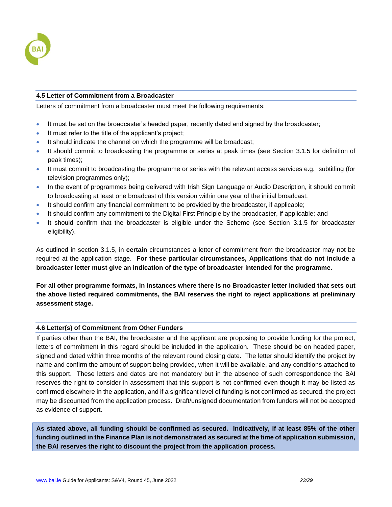

### <span id="page-22-0"></span>**4.5 Letter of Commitment from a Broadcaster**

Letters of commitment from a broadcaster must meet the following requirements:

- It must be set on the broadcaster's headed paper, recently dated and signed by the broadcaster;
- It must refer to the title of the applicant's project;
- It should indicate the channel on which the programme will be broadcast;
- It should commit to broadcasting the programme or series at peak times (see Section 3.1.5 for definition of peak times);
- It must commit to broadcasting the programme or series with the relevant access services e.g. subtitling (for television programmes only);
- In the event of programmes being delivered with Irish Sign Language or Audio Description, it should commit to broadcasting at least one broadcast of this version within one year of the initial broadcast.
- It should confirm any financial commitment to be provided by the broadcaster, if applicable;
- It should confirm any commitment to the Digital First Principle by the broadcaster, if applicable; and
- It should confirm that the broadcaster is eligible under the Scheme (see Section 3.1.5 for broadcaster eligibility).

As outlined in section 3.1.5, in **certain** circumstances a letter of commitment from the broadcaster may not be required at the application stage. **For these particular circumstances, Applications that do not include a broadcaster letter must give an indication of the type of broadcaster intended for the programme.**

**For all other programme formats, in instances where there is no Broadcaster letter included that sets out the above listed required commitments, the BAI reserves the right to reject applications at preliminary assessment stage.** 

### <span id="page-22-1"></span>**4.6 Letter(s) of Commitment from Other Funders**

If parties other than the BAI, the broadcaster and the applicant are proposing to provide funding for the project, letters of commitment in this regard should be included in the application. These should be on headed paper, signed and dated within three months of the relevant round closing date. The letter should identify the project by name and confirm the amount of support being provided, when it will be available, and any conditions attached to this support. These letters and dates are not mandatory but in the absence of such correspondence the BAI reserves the right to consider in assessment that this support is not confirmed even though it may be listed as confirmed elsewhere in the application, and if a significant level of funding is not confirmed as secured, the project may be discounted from the application process. Draft/unsigned documentation from funders will not be accepted as evidence of support.

**As stated above, all funding should be confirmed as secured. Indicatively, if at least 85% of the other funding outlined in the Finance Plan is not demonstrated as secured at the time of application submission, the BAI reserves the right to discount the project from the application process.**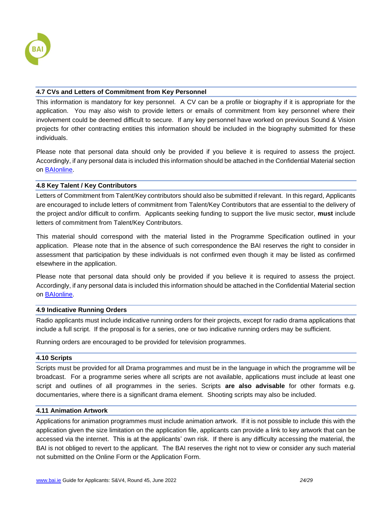

### <span id="page-23-0"></span>**4.7 CVs and Letters of Commitment from Key Personnel**

This information is mandatory for key personnel. A CV can be a profile or biography if it is appropriate for the application. You may also wish to provide letters or emails of commitment from key personnel where their involvement could be deemed difficult to secure. If any key personnel have worked on previous Sound & Vision projects for other contracting entities this information should be included in the biography submitted for these individuals.

Please note that personal data should only be provided if you believe it is required to assess the project. Accordingly, if any personal data is included this information should be attached in the Confidential Material section on [BAIonline.](http://baionline/)

### <span id="page-23-1"></span>**4.8 Key Talent / Key Contributors**

Letters of Commitment from Talent/Key contributors should also be submitted if relevant. In this regard, Applicants are encouraged to include letters of commitment from Talent/Key Contributors that are essential to the delivery of the project and/or difficult to confirm. Applicants seeking funding to support the live music sector, **must** include letters of commitment from Talent/Key Contributors.

This material should correspond with the material listed in the Programme Specification outlined in your application. Please note that in the absence of such correspondence the BAI reserves the right to consider in assessment that participation by these individuals is not confirmed even though it may be listed as confirmed elsewhere in the application.

Please note that personal data should only be provided if you believe it is required to assess the project. Accordingly, if any personal data is included this information should be attached in the Confidential Material section on [BAIonline.](http://baionline/)

### <span id="page-23-2"></span>**4.9 Indicative Running Orders**

Radio applicants must include indicative running orders for their projects, except for radio drama applications that include a full script. If the proposal is for a series, one or two indicative running orders may be sufficient.

Running orders are encouraged to be provided for television programmes.

### <span id="page-23-3"></span>**4.10 Scripts**

Scripts must be provided for all Drama programmes and must be in the language in which the programme will be broadcast. For a programme series where all scripts are not available, applications must include at least one script and outlines of all programmes in the series. Scripts **are also advisable** for other formats e.g. documentaries, where there is a significant drama element. Shooting scripts may also be included.

### <span id="page-23-4"></span>**4.11 Animation Artwork**

Applications for animation programmes must include animation artwork. If it is not possible to include this with the application given the size limitation on the application file, applicants can provide a link to key artwork that can be accessed via the internet. This is at the applicants' own risk. If there is any difficulty accessing the material, the BAI is not obliged to revert to the applicant. The BAI reserves the right not to view or consider any such material not submitted on the Online Form or the Application Form.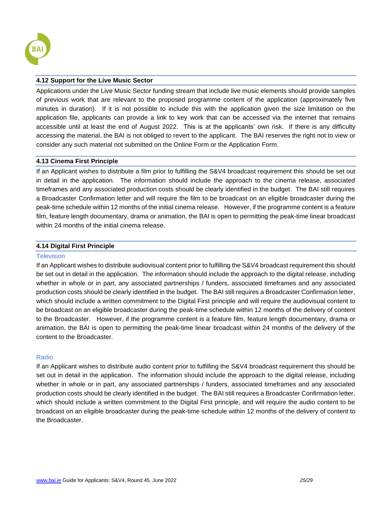

### <span id="page-24-0"></span>**4.12 Support for the Live Music Sector**

Applications under the Live Music Sector funding stream that include live music elements should provide samples of previous work that are relevant to the proposed programme content of the application (approximately five minutes in duration). If it is not possible to include this with the application given the size limitation on the application file, applicants can provide a link to key work that can be accessed via the internet that remains accessible until at least the end of August 2022. This is at the applicants' own risk. If there is any difficulty accessing the material, the BAI is not obliged to revert to the applicant. The BAI reserves the right not to view or consider any such material not submitted on the Online Form or the Application Form.

### <span id="page-24-1"></span>**4.13 Cinema First Principle**

If an Applicant wishes to distribute a film prior to fulfilling the S&V4 broadcast requirement this should be set out in detail in the application. The information should include the approach to the cinema release, associated timeframes and any associated production costs should be clearly identified in the budget. The BAI still requires a Broadcaster Confirmation letter and will require the film to be broadcast on an eligible broadcaster during the peak-time schedule within 12 months of the initial cinema release. However, if the programme content is a feature film, feature length documentary, drama or animation, the BAI is open to permitting the peak-time linear broadcast within 24 months of the initial cinema release.

### <span id="page-24-2"></span>**4.14 Digital First Principle**

### **Television**

If an Applicant wishes to distribute audiovisual content prior to fulfilling the S&V4 broadcast requirement this should be set out in detail in the application. The information should include the approach to the digital release, including whether in whole or in part, any associated partnerships / funders, associated timeframes and any associated production costs should be clearly identified in the budget. The BAI still requires a Broadcaster Confirmation letter, which should include a written commitment to the Digital First principle and will require the audiovisual content to be broadcast on an eligible broadcaster during the peak-time schedule within 12 months of the delivery of content to the Broadcaster. However, if the programme content is a feature film, feature length documentary, drama or animation, the BAI is open to permitting the peak-time linear broadcast within 24 months of the delivery of the content to the Broadcaster.

### Radio

If an Applicant wishes to distribute audio content prior to fulfilling the S&V4 broadcast requirement this should be set out in detail in the application. The information should include the approach to the digital release, including whether in whole or in part, any associated partnerships / funders, associated timeframes and any associated production costs should be clearly identified in the budget. The BAI still requires a Broadcaster Confirmation letter, which should include a written commitment to the Digital First principle, and will require the audio content to be broadcast on an eligible broadcaster during the peak-time schedule within 12 months of the delivery of content to the Broadcaster.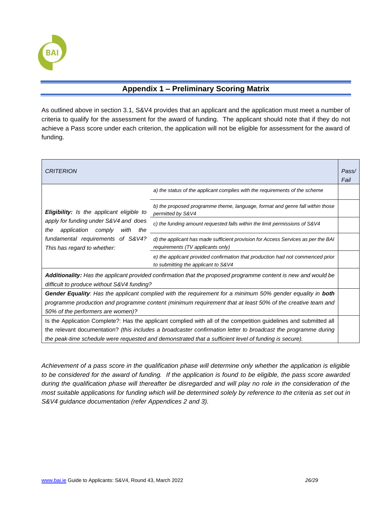

## **Appendix 1 – Preliminary Scoring Matrix**

<span id="page-25-0"></span>As outlined above in section 3.1, S&V4 provides that an applicant and the application must meet a number of criteria to qualify for the assessment for the award of funding. The applicant should note that if they do not achieve a Pass score under each criterion, the application will not be eligible for assessment for the award of funding.

| <b>CRITERION</b>                                                                                                                                                                                                                                                                                                                             |                                                                                                                        |  |
|----------------------------------------------------------------------------------------------------------------------------------------------------------------------------------------------------------------------------------------------------------------------------------------------------------------------------------------------|------------------------------------------------------------------------------------------------------------------------|--|
|                                                                                                                                                                                                                                                                                                                                              | a) the status of the applicant complies with the requirements of the scheme                                            |  |
| <b>Eligibility:</b> Is the applicant eligible to<br>apply for funding under S&V4 and does<br>application<br>comply<br>with<br>the<br>the<br>fundamental requirements of S&V4?<br>This has regard to whether:                                                                                                                                 | b) the proposed programme theme, language, format and genre fall within those<br>permitted by S&V4                     |  |
|                                                                                                                                                                                                                                                                                                                                              | c) the funding amount requested falls within the limit permissions of S&V4                                             |  |
|                                                                                                                                                                                                                                                                                                                                              | d) the applicant has made sufficient provision for Access Services as per the BAI<br>requirements (TV applicants only) |  |
|                                                                                                                                                                                                                                                                                                                                              | e) the applicant provided confirmation that production had not commenced prior<br>to submitting the applicant to S&V4  |  |
| Additionality: Has the applicant provided confirmation that the proposed programme content is new and would be<br>difficult to produce without S&V4 funding?                                                                                                                                                                                 |                                                                                                                        |  |
| Gender Equality: Has the applicant complied with the requirement for a minimum 50% gender equality in both<br>programme production and programme content (minimum requirement that at least 50% of the creative team and<br>50% of the performers are women)?                                                                                |                                                                                                                        |  |
| Is the Application Complete?: Has the applicant complied with all of the competition guidelines and submitted all<br>the relevant documentation? (this includes a broadcaster confirmation letter to broadcast the programme during<br>the peak-time schedule were requested and demonstrated that a sufficient level of funding is secure). |                                                                                                                        |  |

*Achievement of a pass score in the qualification phase will determine only whether the application is eligible to be considered for the award of funding. If the application is found to be eligible, the pass score awarded during the qualification phase will thereafter be disregarded and will play no role in the consideration of the most suitable applications for funding which will be determined solely by reference to the criteria as set out in S&V4 guidance documentation (refer Appendices 2 and 3).*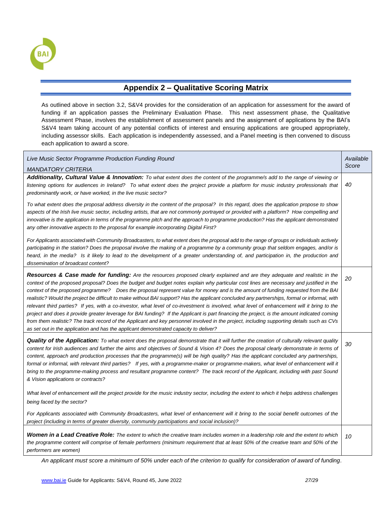

### **Appendix 2 – Qualitative Scoring Matrix**

<span id="page-26-0"></span>As outlined above in section 3.2, S&V4 provides for the consideration of an application for assessment for the award of funding if an application passes the Preliminary Evaluation Phase. This next assessment phase, the Qualitative Assessment Phase, involves the establishment of assessment panels and the assignment of applications by the BAI's S&V4 team taking account of any potential conflicts of interest and ensuring applications are grouped appropriately, including assessor skills. Each application is independently assessed, and a Panel meeting is then convened to discuss each application to award a score.

| Live Music Sector Programme Production Funding Round                                                                                                                                                                                                                                                                                                                                                                                                                                                                                                                                                                                                                                                                                                                                                                                                                                                                                                                                                                                                                                               | Available |
|----------------------------------------------------------------------------------------------------------------------------------------------------------------------------------------------------------------------------------------------------------------------------------------------------------------------------------------------------------------------------------------------------------------------------------------------------------------------------------------------------------------------------------------------------------------------------------------------------------------------------------------------------------------------------------------------------------------------------------------------------------------------------------------------------------------------------------------------------------------------------------------------------------------------------------------------------------------------------------------------------------------------------------------------------------------------------------------------------|-----------|
| <b>MANDATORY CRITERIA</b>                                                                                                                                                                                                                                                                                                                                                                                                                                                                                                                                                                                                                                                                                                                                                                                                                                                                                                                                                                                                                                                                          | Score     |
| Additionality, Cultural Value & Innovation: To what extent does the content of the programme/s add to the range of viewing or<br>listening options for audiences in Ireland? To what extent does the project provide a platform for music industry professionals that<br>predominantly work, or have worked, in the live music sector?                                                                                                                                                                                                                                                                                                                                                                                                                                                                                                                                                                                                                                                                                                                                                             | 40        |
| To what extent does the proposal address diversity in the content of the proposal? In this regard, does the application propose to show<br>aspects of the Irish live music sector, including artists, that are not commonly portrayed or provided with a platform? How compelling and<br>innovative is the application in terms of the programme pitch and the approach to programme production? Has the applicant demonstrated<br>any other innovative aspects to the proposal for example incorporating Digital First?                                                                                                                                                                                                                                                                                                                                                                                                                                                                                                                                                                           |           |
| For Applicants associated with Community Broadcasters, to what extent does the proposal add to the range of groups or individuals actively<br>participating in the station? Does the proposal involve the making of a programme by a community group that seldom engages, and/or is<br>heard, in the media? Is it likely to lead to the development of a greater understanding of, and participation in, the production and<br>dissemination of broadcast content?                                                                                                                                                                                                                                                                                                                                                                                                                                                                                                                                                                                                                                 |           |
| Resources & Case made for funding: Are the resources proposed clearly explained and are they adequate and realistic in the<br>context of the proposed proposal? Does the budget and budget notes explain why particular cost lines are necessary and justified in the<br>context of the proposed programme? Does the proposal represent value for money and is the amount of funding requested from the BAI<br>realistic? Would the project be difficult to make without BAI support? Has the applicant concluded any partnerships, formal or informal, with<br>relevant third parties? If yes, with a co-investor, what level of co-investment is involved, what level of enhancement will it bring to the<br>project and does it provide greater leverage for BAI funding? If the Applicant is part financing the project, is the amount indicated coming<br>from them realistic? The track record of the Applicant and key personnel involved in the project, including supporting details such as CVs<br>as set out in the application and has the applicant demonstrated capacity to deliver? | 20        |
| <b>Quality of the Application:</b> To what extent does the proposal demonstrate that it will further the creation of culturally relevant quality<br>content for Irish audiences and further the aims and objectives of Sound & Vision 4? Does the proposal clearly demonstrate in terms of<br>content, approach and production processes that the programme(s) will be high quality? Has the applicant concluded any partnerships,<br>formal or informal, with relevant third parties? If yes, with a programme-maker or programme-makers, what level of enhancement will it<br>bring to the programme-making process and resultant programme content? The track record of the Applicant, including with past Sound<br>& Vision applications or contracts?                                                                                                                                                                                                                                                                                                                                         | 30        |
| What level of enhancement will the project provide for the music industry sector, including the extent to which it helps address challenges<br>being faced by the sector?                                                                                                                                                                                                                                                                                                                                                                                                                                                                                                                                                                                                                                                                                                                                                                                                                                                                                                                          |           |
| For Applicants associated with Community Broadcasters, what level of enhancement will it bring to the social benefit outcomes of the<br>project (including in terms of greater diversity, community participations and social inclusion)?                                                                                                                                                                                                                                                                                                                                                                                                                                                                                                                                                                                                                                                                                                                                                                                                                                                          |           |
| Women in a Lead Creative Role: The extent to which the creative team includes women in a leadership role and the extent to which<br>the programme content will comprise of female performers (minimum requirement that at least 50% of the creative team and 50% of the<br>performers are women)                                                                                                                                                                                                                                                                                                                                                                                                                                                                                                                                                                                                                                                                                                                                                                                                   | 10        |

*An applicant must score a minimum of 50% under each of the criterion to qualify for consideration of award of funding.*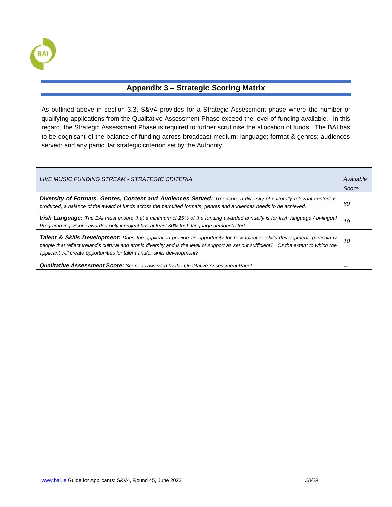

### **Appendix 3 – Strategic Scoring Matrix**

<span id="page-27-0"></span>As outlined above in section 3.3, S&V4 provides for a Strategic Assessment phase where the number of qualifying applications from the Qualitative Assessment Phase exceed the level of funding available. In this regard, the Strategic Assessment Phase is required to further scrutinise the allocation of funds. The BAI has to be cognisant of the balance of funding across broadcast medium; language; format & genres; audiences served; and any particular strategic criterion set by the Authority.

| LIVE MUSIC FUNDING STREAM - STRATEGIC CRITERIA                                                                                                                                                                                                                                                                                                        | Available<br>Score |
|-------------------------------------------------------------------------------------------------------------------------------------------------------------------------------------------------------------------------------------------------------------------------------------------------------------------------------------------------------|--------------------|
| Diversity of Formats, Genres, Content and Audiences Served: To ensure a diversity of culturally relevant content is<br>produced, a balance of the award of funds across the permitted formats, genres and audiences needs to be achieved.                                                                                                             | 80                 |
| Irish Language: The BAI must ensure that a minimum of 25% of the funding awarded annually is for Irish language / bi-lingual<br>Programming. Score awarded only if project has at least 30% Irish language demonstrated.                                                                                                                              | 10                 |
| Talent & Skills Development: Does the application provide an opportunity for new talent or skills development, particularly<br>people that reflect Ireland's cultural and ethnic diversity and is the level of support as set out sufficient? Or the extent to which the<br>applicant will create opportunities for talent and/or skills development? | 10                 |
| <b>Qualitative Assessment Score:</b> Score as awarded by the Qualitative Assessment Panel                                                                                                                                                                                                                                                             |                    |